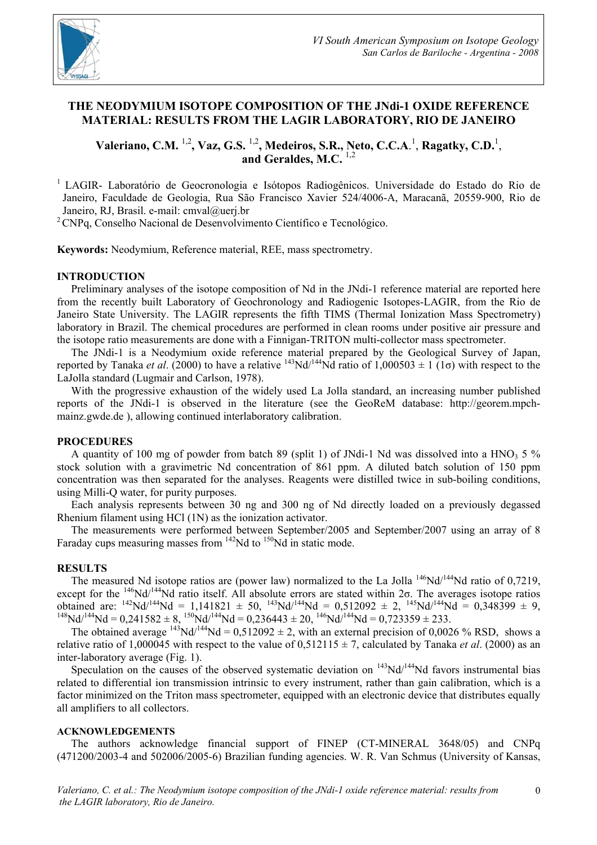

# **THE NEODYMIUM ISOTOPE COMPOSITION OF THE JNdi-1 OXIDE REFERENCE MATERIAL: RESULTS FROM THE LAGIR LABORATORY, RIO DE JANEIRO**

Valeriano, C.M. <sup>1,2</sup>, Vaz, G.S. <sup>1,2</sup>, Medeiros, S.R., Neto, C.C.A.<sup>1</sup>, Ragatky, C.D.<sup>1</sup>, **and Geraldes, M.C.** 1,2

1 LAGIR- Laboratório de Geocronologia e Isótopos Radiogênicos. Universidade do Estado do Rio de Janeiro, Faculdade de Geologia, Rua São Francisco Xavier 524/4006-A, Maracanã, 20559-900, Rio de Janeiro, RJ, Brasil. e-mail: cmval@uerj.br

 $2^2$ CNPq, Conselho Nacional de Desenvolvimento Científico e Tecnológico.

**Keywords:** Neodymium, Reference material, REE, mass spectrometry.

## **INTRODUCTION**

Preliminary analyses of the isotope composition of Nd in the JNdi-1 reference material are reported here from the recently built Laboratory of Geochronology and Radiogenic Isotopes-LAGIR, from the Rio de Janeiro State University. The LAGIR represents the fifth TIMS (Thermal Ionization Mass Spectrometry) laboratory in Brazil. The chemical procedures are performed in clean rooms under positive air pressure and the isotope ratio measurements are done with a Finnigan-TRITON multi-collector mass spectrometer.

The JNdi-1 is a Neodymium oxide reference material prepared by the Geological Survey of Japan, reported by Tanaka *et al.* (2000) to have a relative <sup>143</sup>Nd/<sup>144</sup>Nd ratio of 1,000503  $\pm$  1 (1 $\sigma$ ) with respect to the LaJolla standard (Lugmair and Carlson, 1978).

With the progressive exhaustion of the widely used La Jolla standard, an increasing number published reports of the JNdi-1 is observed in the literature (see the GeoReM database: http://georem.mpchmainz.gwde.de ), allowing continued interlaboratory calibration.

### **PROCEDURES**

A quantity of 100 mg of powder from batch 89 (split 1) of JNdi-1 Nd was dissolved into a HNO<sub>3</sub> 5 % stock solution with a gravimetric Nd concentration of 861 ppm. A diluted batch solution of 150 ppm concentration was then separated for the analyses. Reagents were distilled twice in sub-boiling conditions, using Milli-Q water, for purity purposes.

Each analysis represents between 30 ng and 300 ng of Nd directly loaded on a previously degassed Rhenium filament using HCl (1N) as the ionization activator.

The measurements were performed between September/2005 and September/2007 using an array of 8 Faraday cups measuring masses from  $^{142}$ Nd to  $^{150}$ Nd in static mode.

### **RESULTS**

The measured Nd isotope ratios are (power law) normalized to the La Jolla  $^{146}Nd/^{144}Nd$  ratio of 0,7219, except for the <sup>146</sup>Nd/<sup>144</sup>Nd ratio itself. All absolute errors are stated within  $2\sigma$ . The averages isotope ratios obtained are:  $^{142}Nd^{144}Nd = 1,141821 \pm 50$ ,  $^{143}Nd^{144}Nd = 0,512092 \pm 2$ ,  $^{145}Nd^{144}Nd = 0,348399 \pm 9$ ,  $1^{148}Nd^{144}Nd = 0,241582 \pm 8, \frac{150}Nd^{144}Nd = 0,236443 \pm 20, \frac{146}Nd^{144}Nd = 0,723359 \pm 233.$ 

The obtained average  $143Nd/144Nd = 0.512092 \pm 2$ , with an external precision of 0,0026 % RSD, shows a relative ratio of 1,000045 with respect to the value of  $0.512115 \pm 7$ , calculated by Tanaka *et al.* (2000) as an inter-laboratory average (Fig. 1).

Speculation on the causes of the observed systematic deviation on  $143Nd^{144}Nd$  favors instrumental bias related to differential ion transmission intrinsic to every instrument, rather than gain calibration, which is a factor minimized on the Triton mass spectrometer, equipped with an electronic device that distributes equally all amplifiers to all collectors.

### **ACKNOWLEDGEMENTS**

The authors acknowledge financial support of FINEP (CT-MINERAL 3648/05) and CNPq (471200/2003-4 and 502006/2005-6) Brazilian funding agencies. W. R. Van Schmus (University of Kansas,